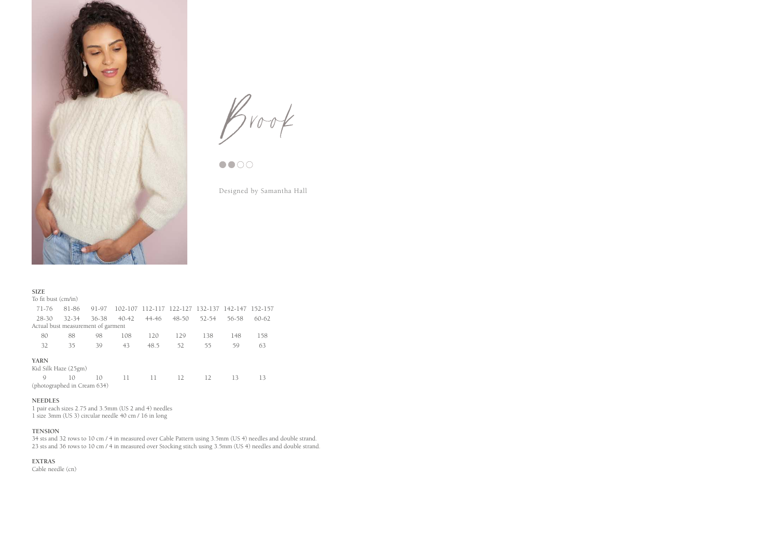

 $B$ rook



Designed by Samantha Hall

| <b>SIZE</b>                        |           |       |       |                                                 |       |       |       |         |
|------------------------------------|-----------|-------|-------|-------------------------------------------------|-------|-------|-------|---------|
| To fit bust (cm/in)                |           |       |       |                                                 |       |       |       |         |
| 71-76                              | 81-86     | 91-97 |       | 102-107 112-117 122-127 132-137 142-147 152-157 |       |       |       |         |
| 28-30                              | $32 - 34$ | 36-38 | 40-42 | 44-46                                           | 48-50 | 52-54 | 56-58 | $60-62$ |
| Actual bust measurement of garment |           |       |       |                                                 |       |       |       |         |
| 80                                 | 88        | 98    | 108   | 120                                             | 129   | 138   | 148   | 158     |
| 32                                 | 35        | 39    | 43    | 48.5                                            | 52    | 55    | 59    | 63      |
| <b>YARN</b>                        |           |       |       |                                                 |       |       |       |         |
| Kid Silk Haze (25gm)               |           |       |       |                                                 |       |       |       |         |
| $\mathcal{Q}$                      | 10        | 10    | 11    | 11                                              | 12    | 12    | 13    | 13      |
| (photographed in Cream 634)        |           |       |       |                                                 |       |       |       |         |

### **NEEDLES**

1 pair each sizes 2.75 and 3.5mm (US 2 and 4) needles 1 size 3mm (US 3) circular needle 40 cm / 16 in long

### **TENSION**

34 sts and 32 rows to 10 cm / 4 in measured over Cable Pattern using 3.5mm (US 4) needles and double strand. 23 sts and 36 rows to 10 cm / 4 in measured over Stocking stitch using 3.5mm (US 4) needles and double strand.

**EXTRAS**

Cable needle (cn)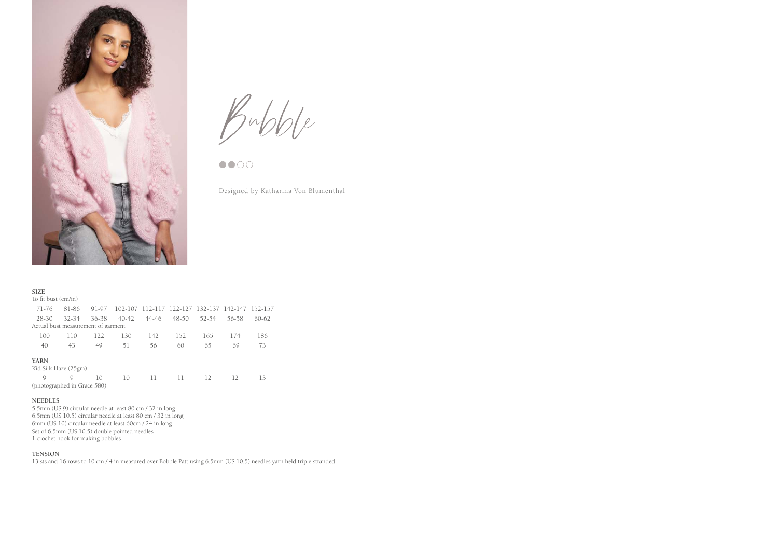

 $B$ ubble

Designed by Katharina Von Blumenthal

| <b>SIZE</b>                        |           |       |       |                                                 |       |       |       |         |
|------------------------------------|-----------|-------|-------|-------------------------------------------------|-------|-------|-------|---------|
| To fit bust (cm/in)                |           |       |       |                                                 |       |       |       |         |
| 71-76                              | 81-86     | 91-97 |       | 102-107 112-117 122-127 132-137 142-147 152-157 |       |       |       |         |
| $28 - 30$                          | $32 - 34$ | 36-38 | 40-42 | 44-46                                           | 48-50 | 52-54 | 56-58 | $60-62$ |
| Actual bust measurement of garment |           |       |       |                                                 |       |       |       |         |
| 100                                | 110       | 122   | 130   | 142                                             | 152   | 165   | 174   | 186     |
| 40                                 | 43        | 49    | 51    | 56                                              | 60    | 65    | 69    | 73      |
| <b>YARN</b>                        |           |       |       |                                                 |       |       |       |         |
| Kid Silk Haze (25gm)               |           |       |       |                                                 |       |       |       |         |
| $\mathcal{Q}$                      | Q         | 10    | 10    | 11                                              | 11    | 12    | 12    | 13      |
| (photographed in Grace 580)        |           |       |       |                                                 |       |       |       |         |

### **NEEDLES**

5.5mm (US 9) circular needle at least 80 cm / 32 in long 6.5mm (US 10.5) circular needle at least 80 cm / 32 in long 6mm (US 10) circular needle at least 60cm / 24 in long Set of 6.5mm (US 10.5) double pointed needles 1 crochet hook for making bobbles

## **TENSION**

13 sts and 16 rows to 10 cm / 4 in measured over Bobble Patt using 6.5mm (US 10.5) needles yarn held triple stranded.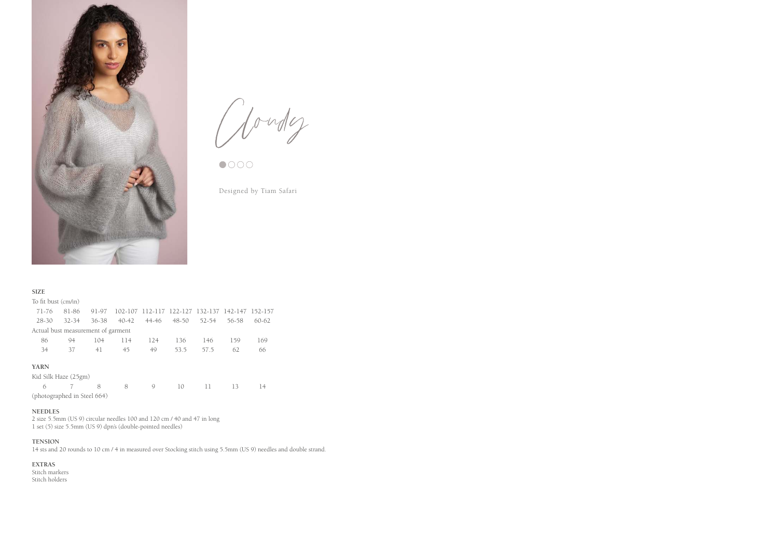

Cloudy

Designed by Tiam Safari

## **SIZE**

| To fit bust (cm/in)                |       |           |           |                                                 |           |       |       |           |
|------------------------------------|-------|-----------|-----------|-------------------------------------------------|-----------|-------|-------|-----------|
| 71-76                              | 81-86 | 91-97     |           | 102-107 112-117 122-127 132-137 142-147 152-157 |           |       |       |           |
| $28 - 30$                          | 32-34 | $36 - 38$ | $40 - 42$ | 44-46                                           | $48 - 50$ | 52-54 | 56-58 | $60 - 62$ |
| Actual bust measurement of garment |       |           |           |                                                 |           |       |       |           |
| 86                                 | 94    | 104       | 114       | 124                                             | 136       | 146   | 159   | 169       |
| 34                                 | 37    | 41        | 45        | 49                                              | 53.5      | 57.5  | 62    | 66        |
| <b>YARN</b>                        |       |           |           |                                                 |           |       |       |           |
| Kid Silk Haze (25gm)               |       |           |           |                                                 |           |       |       |           |
| 6                                  |       | 8         | 8         | Q                                               | 10        | 11    | 13    | 14        |
| (photographed in Steel 664)        |       |           |           |                                                 |           |       |       |           |

#### **NEEDLES**

2 size 5.5mm (US 9) circular needles 100 and 120 cm / 40 and 47 in long 1 set (5) size 5.5mm (US 9) dpn's (double-pointed needles)

# **TENSION**

14 sts and 20 rounds to 10 cm / 4 in measured over Stocking stitch using 5.5mm (US 9) needles and double strand.

# **EXTRAS**

Stitch markers Stitch holders